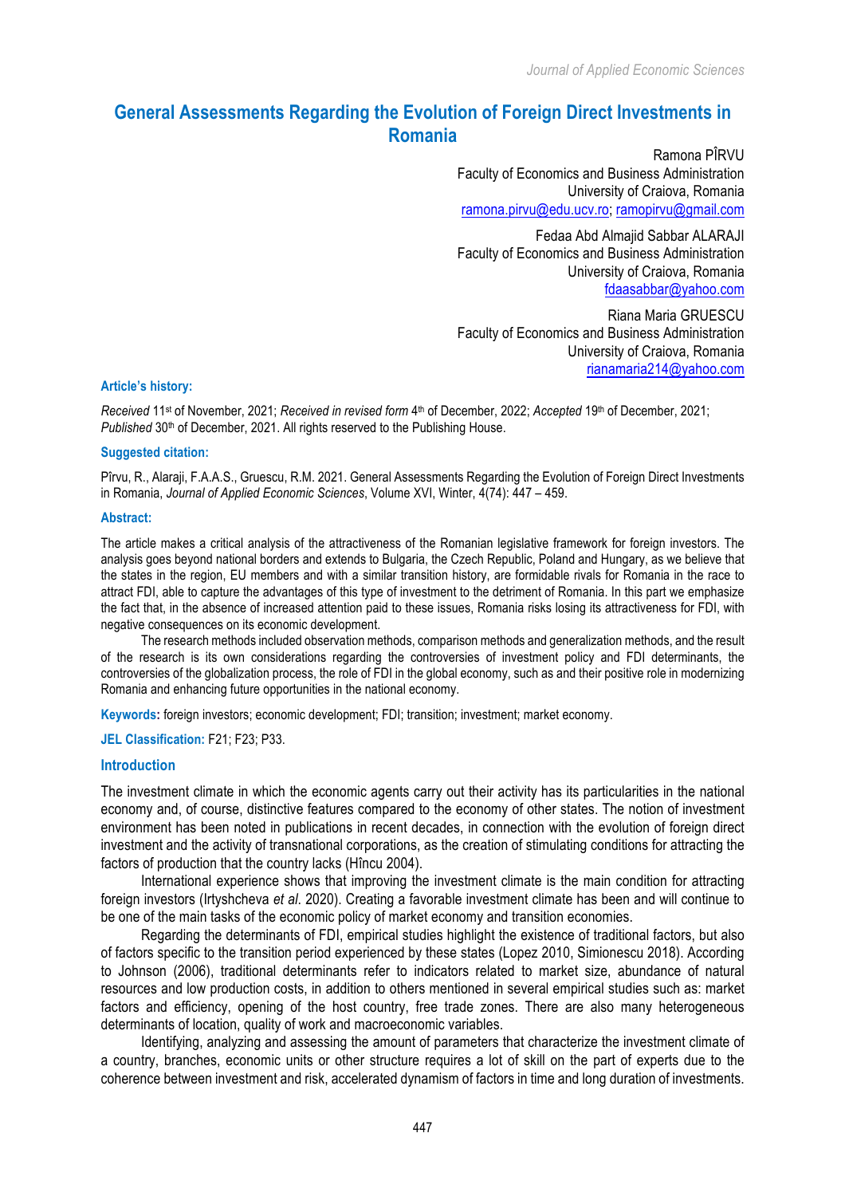# **General Assessments Regarding the Evolution of Foreign Direct Investments in Romania**

Ramona PÎRVU Faculty of Economics and Business Administration University of Craiova, Romania ramona.pirvu@edu.ucv.ro; ramopirvu@gmail.com

Fedaa Abd Almajid Sabbar ALARAJI Faculty of Economics and Business Administration University of Craiova, Romania fdaasabbar@yahoo.com

Riana Maria GRUESCU Faculty of Economics and Business Administration University of Craiova, Romania rianamaria214@yahoo.com

### **Article's history:**

*Received* 11st of November, 2021; *Received in revised form* 4th of December, 2022; *Accepted* 19th of December, 2021; Published 30<sup>th</sup> of December, 2021. All rights reserved to the Publishing House.

#### **Suggested citation:**

Pîrvu, R., Alaraji, F.A.A.S., Gruescu, R.M. 2021. General Assessments Regarding the Evolution of Foreign Direct Investments in Romania, *Journal of Applied Economic Sciences*, Volume XVI, Winter, 4(74): 447 – 459.

#### **Abstract:**

The article makes a critical analysis of the attractiveness of the Romanian legislative framework for foreign investors. The analysis goes beyond national borders and extends to Bulgaria, the Czech Republic, Poland and Hungary, as we believe that the states in the region, EU members and with a similar transition history, are formidable rivals for Romania in the race to attract FDI, able to capture the advantages of this type of investment to the detriment of Romania. In this part we emphasize the fact that, in the absence of increased attention paid to these issues, Romania risks losing its attractiveness for FDI, with negative consequences on its economic development.

The research methods included observation methods, comparison methods and generalization methods, and the result of the research is its own considerations regarding the controversies of investment policy and FDI determinants, the controversies of the globalization process, the role of FDI in the global economy, such as and their positive role in modernizing Romania and enhancing future opportunities in the national economy.

**Keywords:** foreign investors; economic development; FDI; transition; investment; market economy.

**JEL Classification:** F21; F23; P33.

#### **Introduction**

The investment climate in which the economic agents carry out their activity has its particularities in the national economy and, of course, distinctive features compared to the economy of other states. The notion of investment environment has been noted in publications in recent decades, in connection with the evolution of foreign direct investment and the activity of transnational corporations, as the creation of stimulating conditions for attracting the factors of production that the country lacks (Hîncu 2004).

International experience shows that improving the investment climate is the main condition for attracting foreign investors (Irtyshcheva *et al*. 2020). Creating a favorable investment climate has been and will continue to be one of the main tasks of the economic policy of market economy and transition economies.

Regarding the determinants of FDI, empirical studies highlight the existence of traditional factors, but also of factors specific to the transition period experienced by these states (Lopez 2010, Simionescu 2018). According to Johnson (2006), traditional determinants refer to indicators related to market size, abundance of natural resources and low production costs, in addition to others mentioned in several empirical studies such as: market factors and efficiency, opening of the host country, free trade zones. There are also many heterogeneous determinants of location, quality of work and macroeconomic variables.

Identifying, analyzing and assessing the amount of parameters that characterize the investment climate of a country, branches, economic units or other structure requires a lot of skill on the part of experts due to the coherence between investment and risk, accelerated dynamism of factors in time and long duration of investments.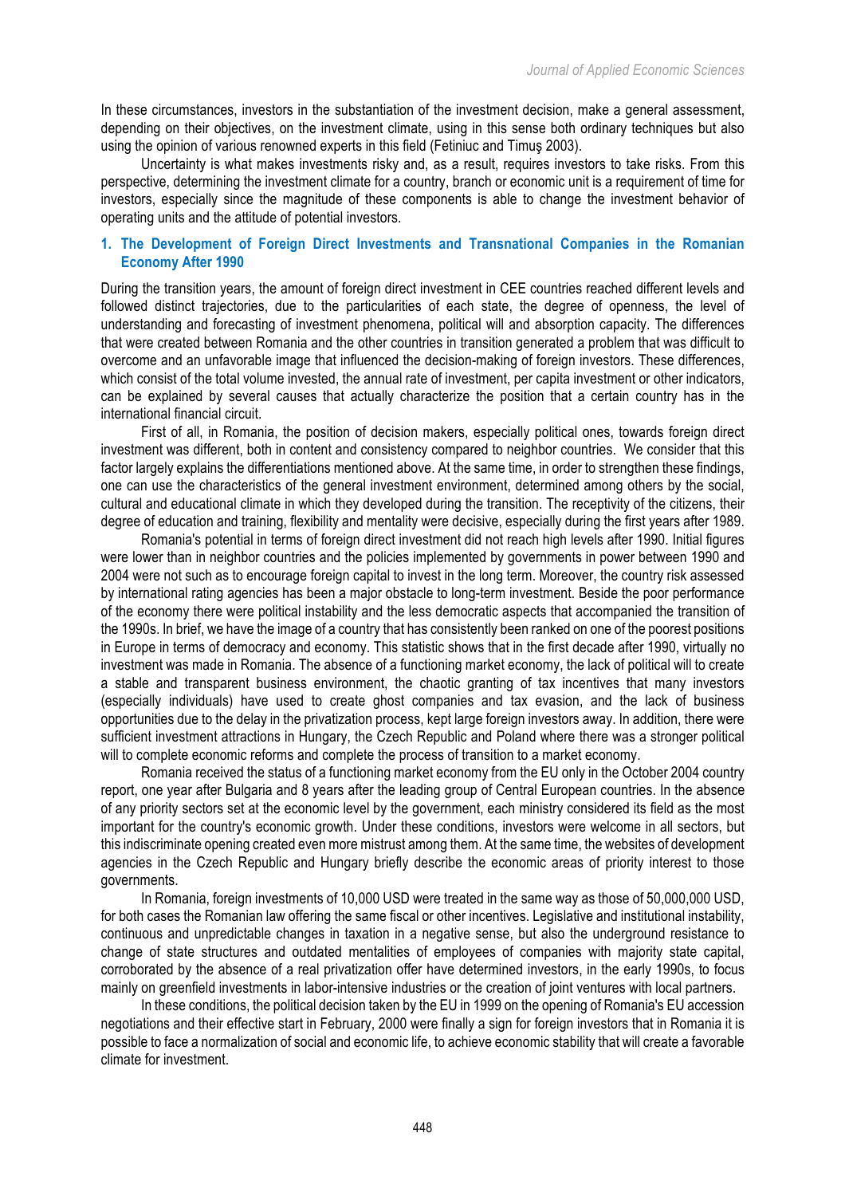In these circumstances, investors in the substantiation of the investment decision, make a general assessment, depending on their objectives, on the investment climate, using in this sense both ordinary techniques but also using the opinion of various renowned experts in this field (Fetiniuc and Timuş 2003).

Uncertainty is what makes investments risky and, as a result, requires investors to take risks. From this perspective, determining the investment climate for a country, branch or economic unit is a requirement of time for investors, especially since the magnitude of these components is able to change the investment behavior of operating units and the attitude of potential investors.

# **1. The Development of Foreign Direct Investments and Transnational Companies in the Romanian Economy After 1990**

During the transition years, the amount of foreign direct investment in CEE countries reached different levels and followed distinct trajectories, due to the particularities of each state, the degree of openness, the level of understanding and forecasting of investment phenomena, political will and absorption capacity. The differences that were created between Romania and the other countries in transition generated a problem that was difficult to overcome and an unfavorable image that influenced the decision-making of foreign investors. These differences, which consist of the total volume invested, the annual rate of investment, per capita investment or other indicators, can be explained by several causes that actually characterize the position that a certain country has in the international financial circuit.

First of all, in Romania, the position of decision makers, especially political ones, towards foreign direct investment was different, both in content and consistency compared to neighbor countries. We consider that this factor largely explains the differentiations mentioned above. At the same time, in order to strengthen these findings, one can use the characteristics of the general investment environment, determined among others by the social, cultural and educational climate in which they developed during the transition. The receptivity of the citizens, their degree of education and training, flexibility and mentality were decisive, especially during the first years after 1989.

Romania's potential in terms of foreign direct investment did not reach high levels after 1990. Initial figures were lower than in neighbor countries and the policies implemented by governments in power between 1990 and 2004 were not such as to encourage foreign capital to invest in the long term. Moreover, the country risk assessed by international rating agencies has been a major obstacle to long-term investment. Beside the poor performance of the economy there were political instability and the less democratic aspects that accompanied the transition of the 1990s. In brief, we have the image of a country that has consistently been ranked on one of the poorest positions in Europe in terms of democracy and economy. This statistic shows that in the first decade after 1990, virtually no investment was made in Romania. The absence of a functioning market economy, the lack of political will to create a stable and transparent business environment, the chaotic granting of tax incentives that many investors (especially individuals) have used to create ghost companies and tax evasion, and the lack of business opportunities due to the delay in the privatization process, kept large foreign investors away. In addition, there were sufficient investment attractions in Hungary, the Czech Republic and Poland where there was a stronger political will to complete economic reforms and complete the process of transition to a market economy.

Romania received the status of a functioning market economy from the EU only in the October 2004 country report, one year after Bulgaria and 8 years after the leading group of Central European countries. In the absence of any priority sectors set at the economic level by the government, each ministry considered its field as the most important for the country's economic growth. Under these conditions, investors were welcome in all sectors, but this indiscriminate opening created even more mistrust among them. At the same time, the websites of development agencies in the Czech Republic and Hungary briefly describe the economic areas of priority interest to those governments.

In Romania, foreign investments of 10,000 USD were treated in the same way as those of 50,000,000 USD, for both cases the Romanian law offering the same fiscal or other incentives. Legislative and institutional instability, continuous and unpredictable changes in taxation in a negative sense, but also the underground resistance to change of state structures and outdated mentalities of employees of companies with majority state capital, corroborated by the absence of a real privatization offer have determined investors, in the early 1990s, to focus mainly on greenfield investments in labor-intensive industries or the creation of joint ventures with local partners.

In these conditions, the political decision taken by the EU in 1999 on the opening of Romania's EU accession negotiations and their effective start in February, 2000 were finally a sign for foreign investors that in Romania it is possible to face a normalization of social and economic life, to achieve economic stability that will create a favorable climate for investment.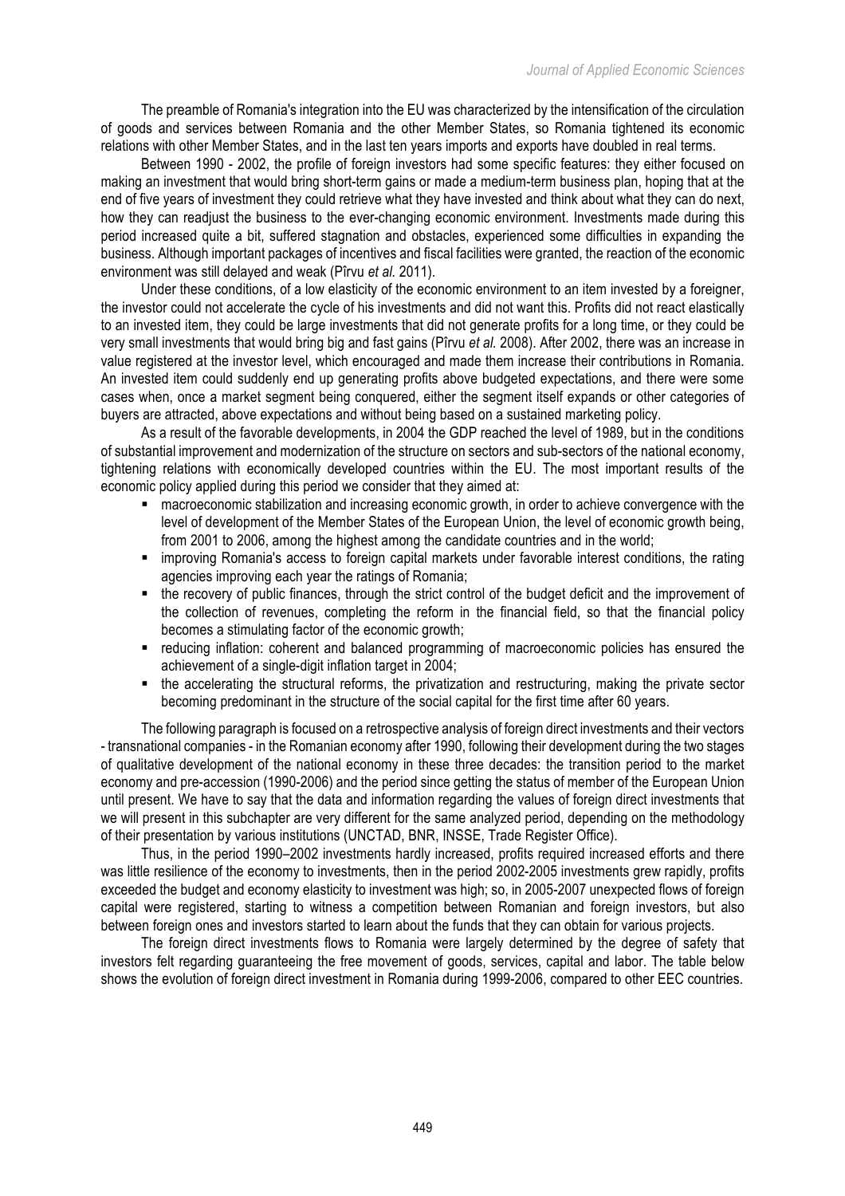The preamble of Romania's integration into the EU was characterized by the intensification of the circulation of goods and services between Romania and the other Member States, so Romania tightened its economic relations with other Member States, and in the last ten years imports and exports have doubled in real terms.

Between 1990 - 2002, the profile of foreign investors had some specific features: they either focused on making an investment that would bring short-term gains or made a medium-term business plan, hoping that at the end of five years of investment they could retrieve what they have invested and think about what they can do next, how they can readjust the business to the ever-changing economic environment. Investments made during this period increased quite a bit, suffered stagnation and obstacles, experienced some difficulties in expanding the business. Although important packages of incentives and fiscal facilities were granted, the reaction of the economic environment was still delayed and weak (Pîrvu *et al.* 2011).

Under these conditions, of a low elasticity of the economic environment to an item invested by a foreigner, the investor could not accelerate the cycle of his investments and did not want this. Profits did not react elastically to an invested item, they could be large investments that did not generate profits for a long time, or they could be very small investments that would bring big and fast gains (Pîrvu *et al.* 2008). After 2002, there was an increase in value registered at the investor level, which encouraged and made them increase their contributions in Romania. An invested item could suddenly end up generating profits above budgeted expectations, and there were some cases when, once a market segment being conquered, either the segment itself expands or other categories of buyers are attracted, above expectations and without being based on a sustained marketing policy.

As a result of the favorable developments, in 2004 the GDP reached the level of 1989, but in the conditions of substantial improvement and modernization of the structure on sectors and sub-sectors of the national economy, tightening relations with economically developed countries within the EU. The most important results of the economic policy applied during this period we consider that they aimed at:

- macroeconomic stabilization and increasing economic growth, in order to achieve convergence with the level of development of the Member States of the European Union, the level of economic growth being, from 2001 to 2006, among the highest among the candidate countries and in the world;
- improving Romania's access to foreign capital markets under favorable interest conditions, the rating agencies improving each year the ratings of Romania;
- the recovery of public finances, through the strict control of the budget deficit and the improvement of the collection of revenues, completing the reform in the financial field, so that the financial policy becomes a stimulating factor of the economic growth;
- reducing inflation: coherent and balanced programming of macroeconomic policies has ensured the achievement of a single-digit inflation target in 2004;
- the accelerating the structural reforms, the privatization and restructuring, making the private sector becoming predominant in the structure of the social capital for the first time after 60 years.

The following paragraph is focused on a retrospective analysis of foreign direct investments and their vectors - transnational companies - in the Romanian economy after 1990, following their development during the two stages of qualitative development of the national economy in these three decades: the transition period to the market economy and pre-accession (1990-2006) and the period since getting the status of member of the European Union until present. We have to say that the data and information regarding the values of foreign direct investments that we will present in this subchapter are very different for the same analyzed period, depending on the methodology of their presentation by various institutions (UNCTAD, BNR, INSSE, Trade Register Office).

Thus, in the period 1990–2002 investments hardly increased, profits required increased efforts and there was little resilience of the economy to investments, then in the period 2002-2005 investments grew rapidly, profits exceeded the budget and economy elasticity to investment was high; so, in 2005-2007 unexpected flows of foreign capital were registered, starting to witness a competition between Romanian and foreign investors, but also between foreign ones and investors started to learn about the funds that they can obtain for various projects.

The foreign direct investments flows to Romania were largely determined by the degree of safety that investors felt regarding guaranteeing the free movement of goods, services, capital and labor. The table below shows the evolution of foreign direct investment in Romania during 1999-2006, compared to other EEC countries.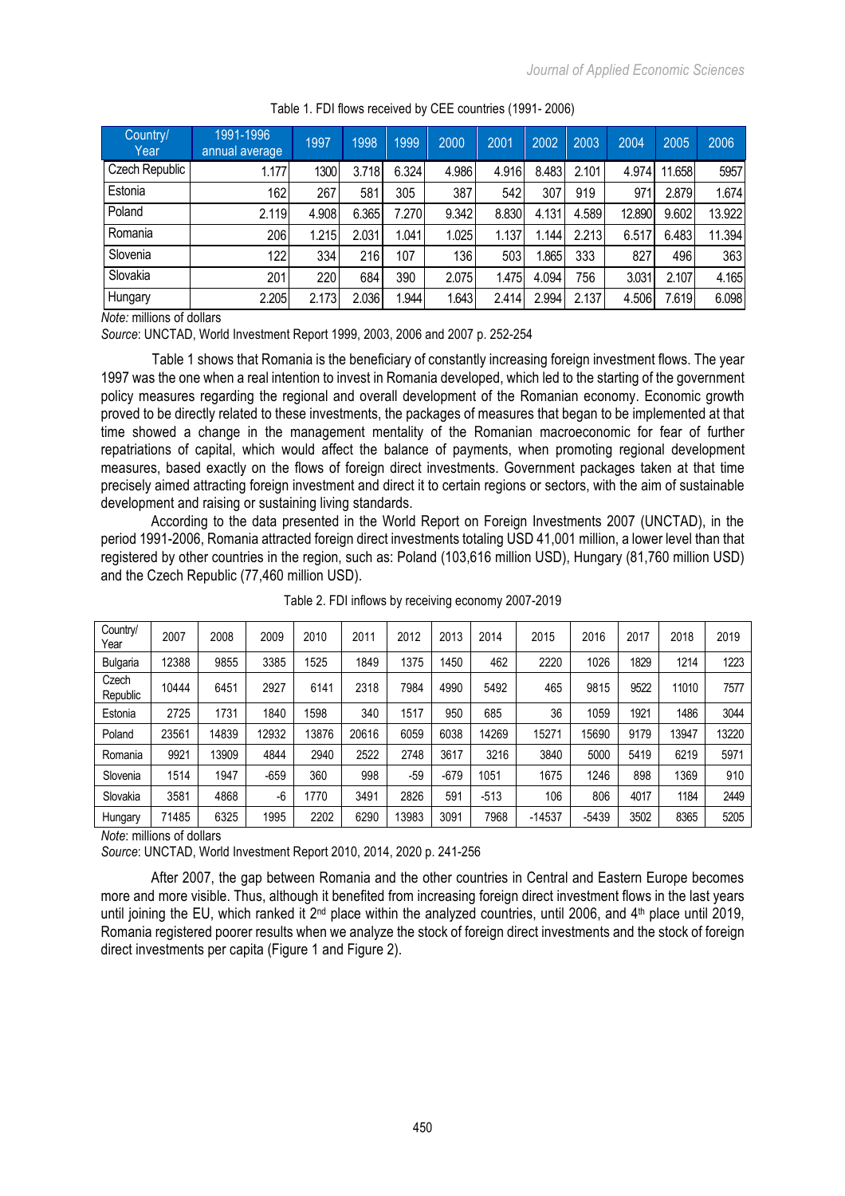| Country/<br>Year | 1991-1996<br>annual average | 1997  | 1998  | 1999  | 2000  | 2001  | 2002  | 2003  | 2004   | 2005   | 2006   |
|------------------|-----------------------------|-------|-------|-------|-------|-------|-------|-------|--------|--------|--------|
| Czech Republic   | 1.177                       | 1300  | 3.718 | 6.324 | 4.986 | 4.916 | 8.483 | 2.101 | 4.974  | 11.658 | 5957   |
| Estonia          | 162 <sub>1</sub>            | 267   | 581   | 305   | 387   | 542   | 307   | 919   | 971    | 2.879  | 1.674  |
| Poland           | 2.119                       | 4.908 | 6.365 | 7.270 | 9.342 | 8.830 | 4.131 | 4.589 | 12.890 | 9.602  | 13.922 |
| Romania          | 206                         | .215  | 2.031 | .041  | 1.025 | 1.137 | .144  | 2.213 | 6.517  | 6.483  | 11.394 |
| Slovenia         | 122                         | 334   | 216   | 107   | 136   | 503   | .865  | 333   | 827    | 496    | 363    |
| Slovakia         | 201                         | 220   | 684   | 390   | 2.075 | 1.475 | 4.094 | 756   | 3.031  | 2.107  | 4.165  |
| Hungary          | 2.205                       | 2.173 | 2.036 | 1.944 | 1.643 | 2.414 | 2.994 | 2.137 | 4.506  | 7.619  | 6.098  |

### Table 1. FDI flows received by CEE countries (1991- 2006)

*Note:* millions of dollars

*Source*: UNCTAD, World Investment Report 1999, 2003, 2006 and 2007 p. 252-254

Table 1 shows that Romania is the beneficiary of constantly increasing foreign investment flows. The year 1997 was the one when a real intention to invest in Romania developed, which led to the starting of the government policy measures regarding the regional and overall development of the Romanian economy. Economic growth proved to be directly related to these investments, the packages of measures that began to be implemented at that time showed a change in the management mentality of the Romanian macroeconomic for fear of further repatriations of capital, which would affect the balance of payments, when promoting regional development measures, based exactly on the flows of foreign direct investments. Government packages taken at that time precisely aimed attracting foreign investment and direct it to certain regions or sectors, with the aim of sustainable development and raising or sustaining living standards.

According to the data presented in the World Report on Foreign Investments 2007 (UNCTAD), in the period 1991-2006, Romania attracted foreign direct investments totaling USD 41,001 million, a lower level than that registered by other countries in the region, such as: Poland (103,616 million USD), Hungary (81,760 million USD) and the Czech Republic (77,460 million USD).

| Country/<br>Year  | 2007  | 2008  | 2009   | 2010  | 2011  | 2012 | 2013   | 2014   | 2015     | 2016    | 2017 | 2018  | 2019  |
|-------------------|-------|-------|--------|-------|-------|------|--------|--------|----------|---------|------|-------|-------|
| <b>Bulgaria</b>   | 12388 | 9855  | 3385   | 1525  | 1849  | 1375 | 1450   | 462    | 2220     | 1026    | 1829 | 1214  | 1223  |
| Czech<br>Republic | 10444 | 6451  | 2927   | 6141  | 2318  | 7984 | 4990   | 5492   | 465      | 9815    | 9522 | 11010 | 7577  |
| Estonia           | 2725  | 1731  | 1840   | 1598  | 340   | 1517 | 950    | 685    | 36       | 1059    | 1921 | 1486  | 3044  |
| Poland            | 23561 | 14839 | 12932  | 13876 | 20616 | 6059 | 6038   | 14269  | 15271    | 15690   | 9179 | 13947 | 13220 |
| Romania           | 9921  | 13909 | 4844   | 2940  | 2522  | 2748 | 3617   | 3216   | 3840     | 5000    | 5419 | 6219  | 5971  |
| Slovenia          | 1514  | 1947  | $-659$ | 360   | 998   | -59  | $-679$ | 1051   | 1675     | 1246    | 898  | 1369  | 910   |
| Slovakia          | 3581  | 4868  | -6     | 1770  | 3491  | 2826 | 591    | $-513$ | 106      | 806     | 4017 | 1184  | 2449  |
| Hungary           | 71485 | 6325  | 1995   | 2202  | 6290  | 3983 | 3091   | 7968   | $-14537$ | $-5439$ | 3502 | 8365  | 5205  |

| Table 2. FDI inflows by receiving economy 2007-2019 |
|-----------------------------------------------------|
|-----------------------------------------------------|

*Note*: millions of dollars

*Source*: UNCTAD, World Investment Report 2010, 2014, 2020 p. 241-256

After 2007, the gap between Romania and the other countries in Central and Eastern Europe becomes more and more visible. Thus, although it benefited from increasing foreign direct investment flows in the last years until joining the EU, which ranked it  $2^{nd}$  place within the analyzed countries, until 2006, and  $4^{th}$  place until 2019, Romania registered poorer results when we analyze the stock of foreign direct investments and the stock of foreign direct investments per capita (Figure 1 and Figure 2).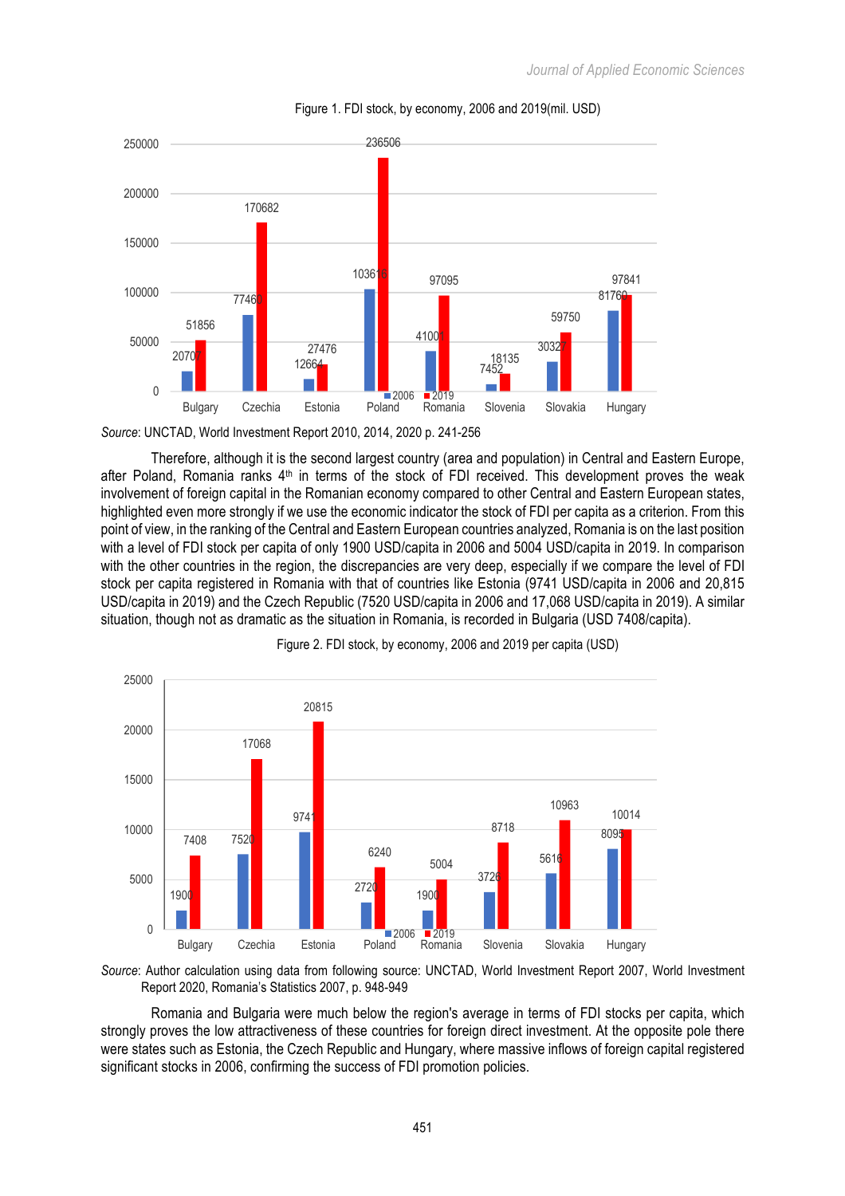

## Figure 1. FDI stock, by economy, 2006 and 2019(mil. USD)

*Source*: UNCTAD, World Investment Report 2010, 2014, 2020 p. 241-256

Therefore, although it is the second largest country (area and population) in Central and Eastern Europe, after Poland, Romania ranks  $4<sup>th</sup>$  in terms of the stock of FDI received. This development proves the weak involvement of foreign capital in the Romanian economy compared to other Central and Eastern European states, highlighted even more strongly if we use the economic indicator the stock of FDI per capita as a criterion. From this point of view, in the ranking of the Central and Eastern European countries analyzed, Romania is on the last position with a level of FDI stock per capita of only 1900 USD/capita in 2006 and 5004 USD/capita in 2019. In comparison with the other countries in the region, the discrepancies are very deep, especially if we compare the level of FDI stock per capita registered in Romania with that of countries like Estonia (9741 USD/capita in 2006 and 20,815 USD/capita in 2019) and the Czech Republic (7520 USD/capita in 2006 and 17,068 USD/capita in 2019). A similar situation, though not as dramatic as the situation in Romania, is recorded in Bulgaria (USD 7408/capita).



Figure 2. FDI stock, by economy, 2006 and 2019 per capita (USD)

*Source*: Author calculation using data from following source: UNCTAD, World Investment Report 2007, World Investment Report 2020, Romania's Statistics 2007, p. 948-949

Romania and Bulgaria were much below the region's average in terms of FDI stocks per capita, which strongly proves the low attractiveness of these countries for foreign direct investment. At the opposite pole there were states such as Estonia, the Czech Republic and Hungary, where massive inflows of foreign capital registered significant stocks in 2006, confirming the success of FDI promotion policies.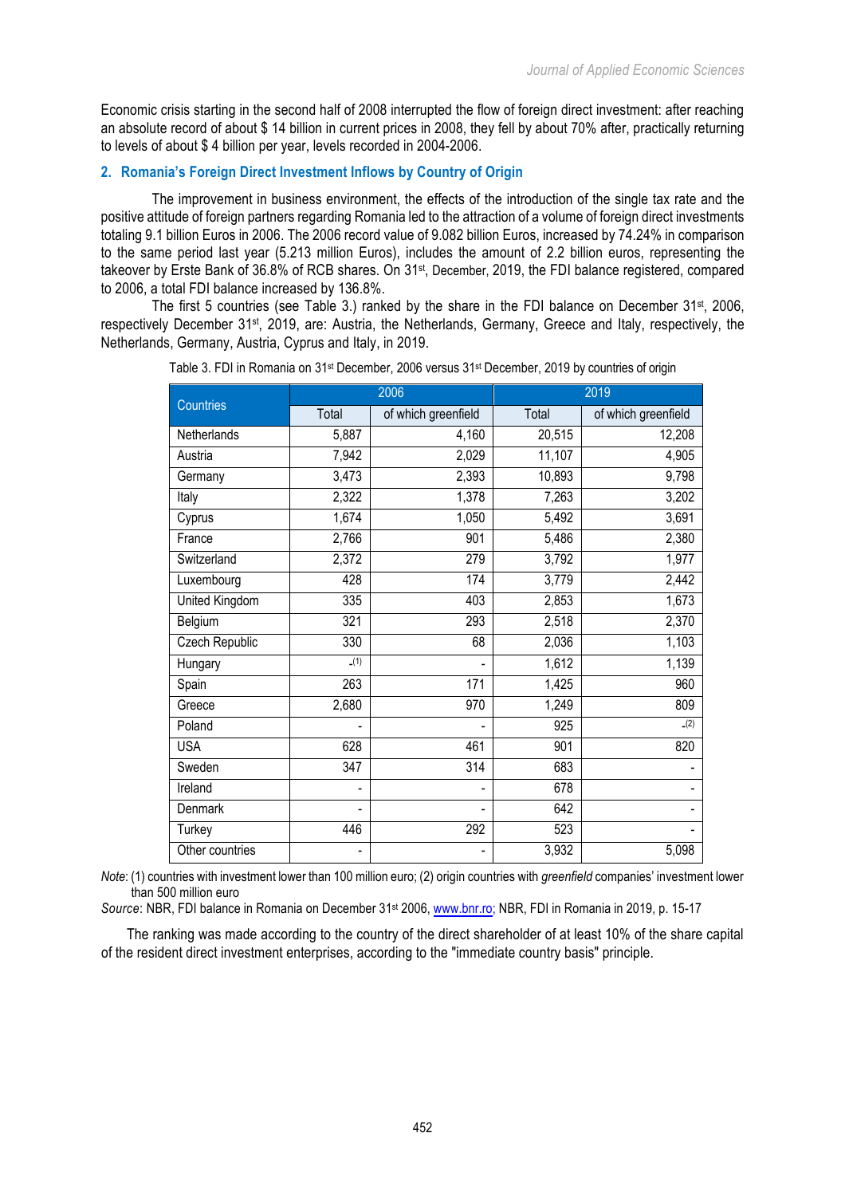Economic crisis starting in the second half of 2008 interrupted the flow of foreign direct investment: after reaching an absolute record of about \$ 14 billion in current prices in 2008, they fell by about 70% after, practically returning to levels of about \$ 4 billion per year, levels recorded in 2004-2006.

# **2. Romania's Foreign Direct Investment Inflows by Country of Origin**

The improvement in business environment, the effects of the introduction of the single tax rate and the positive attitude of foreign partners regarding Romania led to the attraction of a volume of foreign direct investments totaling 9.1 billion Euros in 2006. The 2006 record value of 9.082 billion Euros, increased by 74.24% in comparison to the same period last year (5.213 million Euros), includes the amount of 2.2 billion euros, representing the takeover by Erste Bank of 36.8% of RCB shares. On 31st, December, 2019, the FDI balance registered, compared to 2006, a total FDI balance increased by 136.8%.

The first 5 countries (see Table 3.) ranked by the share in the FDI balance on December  $31st$ , 2006, respectively December 31st, 2019, are: Austria, the Netherlands, Germany, Greece and Italy, respectively, the Netherlands, Germany, Austria, Cyprus and Italy, in 2019.

|                  |       | 2006                | 2019   |                     |  |  |
|------------------|-------|---------------------|--------|---------------------|--|--|
| <b>Countries</b> | Total | of which greenfield | Total  | of which greenfield |  |  |
| Netherlands      | 5,887 | 4,160               | 20,515 | 12,208              |  |  |
| Austria          | 7,942 | 2,029               | 11,107 | 4,905               |  |  |
| Germany          | 3,473 | 2,393               | 10,893 | 9,798               |  |  |
| Italy            | 2,322 | 1,378               | 7,263  | 3,202               |  |  |
| Cyprus           | 1,674 | 1,050               | 5,492  | 3,691               |  |  |
| France           | 2,766 | 901                 | 5,486  | 2,380               |  |  |
| Switzerland      | 2,372 | 279                 | 3,792  | 1,977               |  |  |
| Luxembourg       | 428   | 174                 | 3,779  | 2,442               |  |  |
| United Kingdom   | 335   | 403                 | 2,853  | 1,673               |  |  |
| Belgium          | 321   | 293                 | 2,518  | 2,370               |  |  |
| Czech Republic   | 330   | 68                  | 2,036  | 1,103               |  |  |
| Hungary          | (1)   |                     | 1,612  | 1,139               |  |  |
| Spain            | 263   | 171                 | 1,425  | 960                 |  |  |
| Greece           | 2,680 | 970                 | 1,249  | 809                 |  |  |
| Poland           |       |                     | 925    | $-(2)$              |  |  |
| <b>USA</b>       | 628   | 461                 | 901    | 820                 |  |  |
| Sweden           | 347   | $\overline{314}$    | 683    |                     |  |  |
| Ireland          |       |                     | 678    |                     |  |  |
| Denmark          | ٠     |                     | 642    |                     |  |  |
| Turkey           | 446   | 292                 | 523    |                     |  |  |
| Other countries  |       |                     | 3,932  | 5,098               |  |  |

Table 3. FDI in Romania on 31<sup>st</sup> December, 2006 versus 31<sup>st</sup> December, 2019 by countries of origin

*Note*: (1) countries with investment lower than 100 million euro; (2) origin countries with *greenfield* companies' investment lower than 500 million euro

*Source*: NBR, FDI balance in Romania on December 31st 2006, www.bnr.ro; NBR, FDI in Romania in 2019, p. 15-17

The ranking was made according to the country of the direct shareholder of at least 10% of the share capital of the resident direct investment enterprises, according to the "immediate country basis" principle.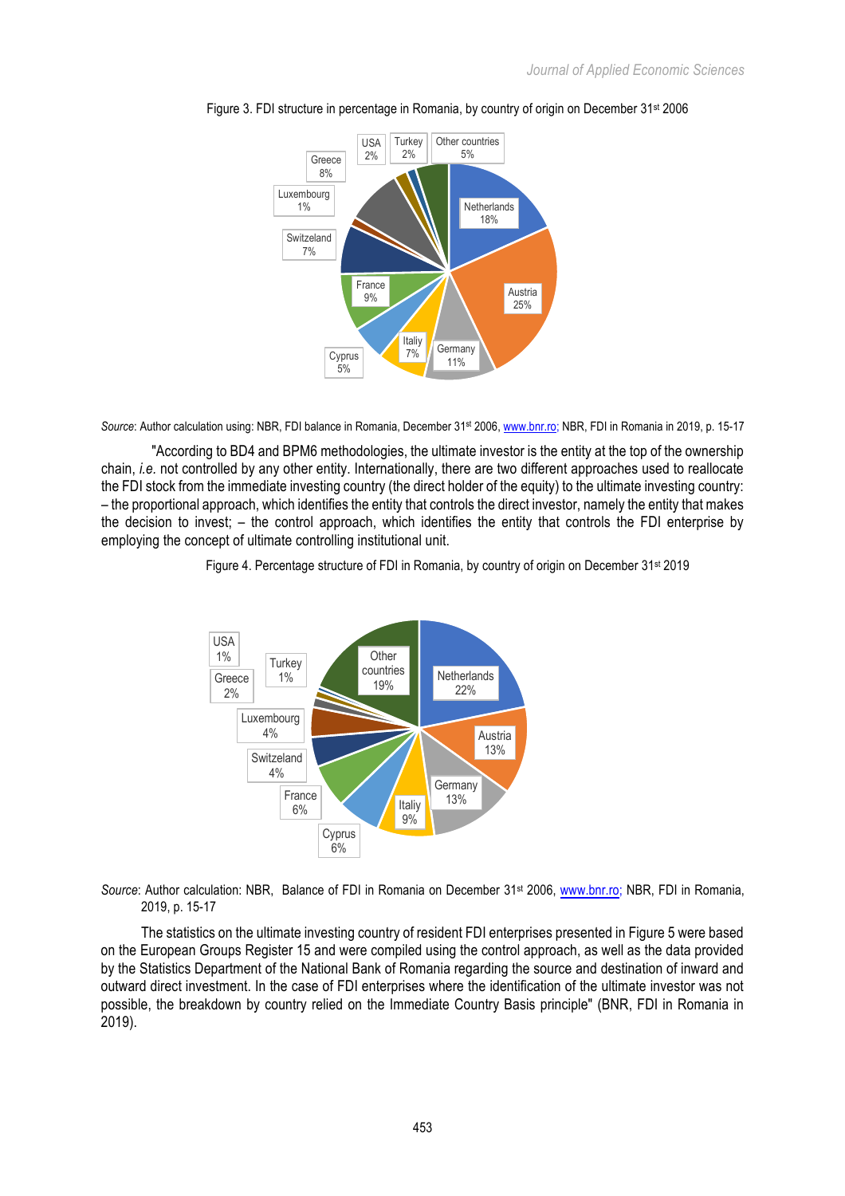



*Source*: Author calculation using: NBR, FDI balance in Romania, December 31st 2006, www.bnr.ro; NBR, FDI in Romania in 2019, p. 15-17

"According to BD4 and BPM6 methodologies, the ultimate investor is the entity at the top of the ownership chain, *i.e.* not controlled by any other entity. Internationally, there are two different approaches used to reallocate the FDI stock from the immediate investing country (the direct holder of the equity) to the ultimate investing country: – the proportional approach, which identifies the entity that controls the direct investor, namely the entity that makes the decision to invest; – the control approach, which identifies the entity that controls the FDI enterprise by employing the concept of ultimate controlling institutional unit.





*Source*: Author calculation: NBR, Balance of FDI in Romania on December 31st 2006, www.bnr.ro; NBR, FDI in Romania, 2019, p. 15-17

The statistics on the ultimate investing country of resident FDI enterprises presented in Figure 5 were based on the European Groups Register 15 and were compiled using the control approach, as well as the data provided by the Statistics Department of the National Bank of Romania regarding the source and destination of inward and outward direct investment. In the case of FDI enterprises where the identification of the ultimate investor was not possible, the breakdown by country relied on the Immediate Country Basis principle" (BNR, FDI in Romania in 2019).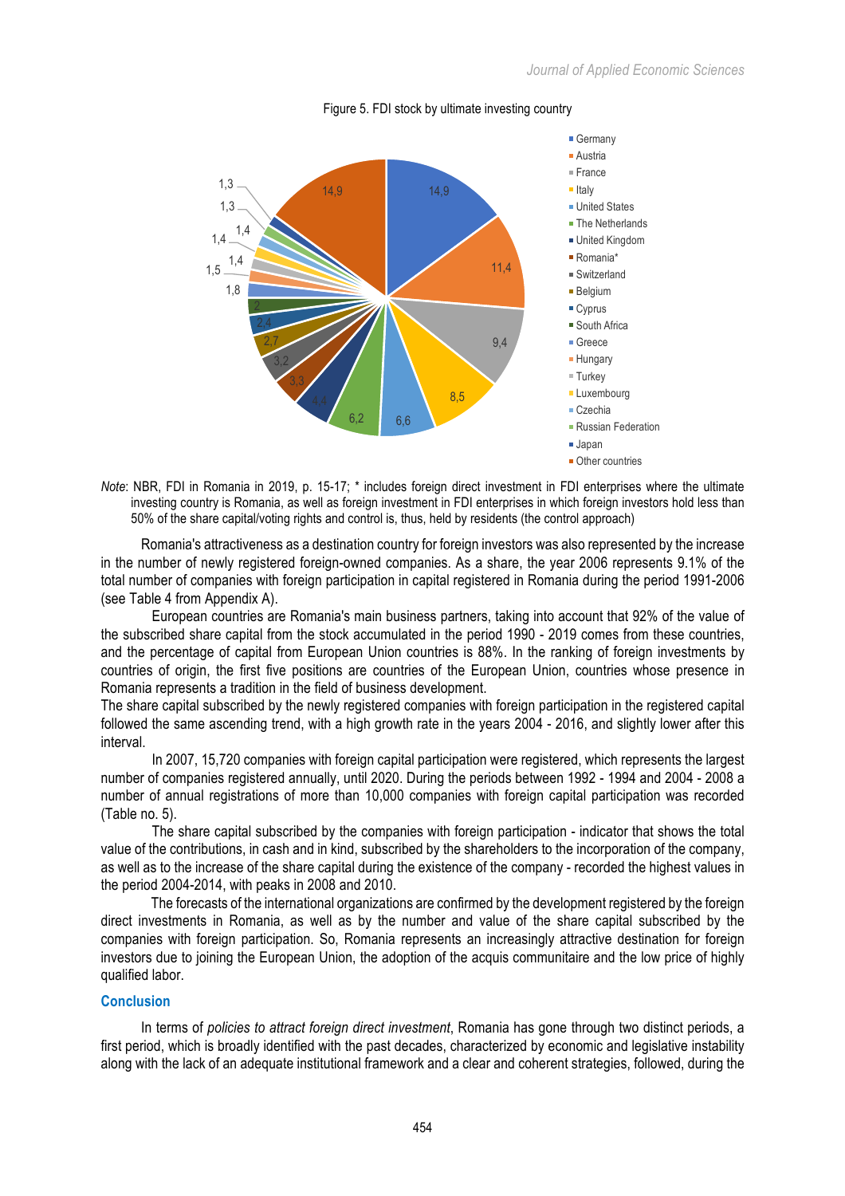

### Figure 5. FDI stock by ultimate investing country

*Note*: NBR, FDI in Romania in 2019, p. 15-17; \* includes foreign direct investment in FDI enterprises where the ultimate investing country is Romania, as well as foreign investment in FDI enterprises in which foreign investors hold less than 50% of the share capital/voting rights and control is, thus, held by residents (the control approach)

Romania's attractiveness as a destination country for foreign investors was also represented by the increase in the number of newly registered foreign-owned companies. As a share, the year 2006 represents 9.1% of the total number of companies with foreign participation in capital registered in Romania during the period 1991-2006 (see Table 4 from Appendix A).

European countries are Romania's main business partners, taking into account that 92% of the value of the subscribed share capital from the stock accumulated in the period 1990 - 2019 comes from these countries, and the percentage of capital from European Union countries is 88%. In the ranking of foreign investments by countries of origin, the first five positions are countries of the European Union, countries whose presence in Romania represents a tradition in the field of business development.

The share capital subscribed by the newly registered companies with foreign participation in the registered capital followed the same ascending trend, with a high growth rate in the years 2004 - 2016, and slightly lower after this interval.

In 2007, 15,720 companies with foreign capital participation were registered, which represents the largest number of companies registered annually, until 2020. During the periods between 1992 - 1994 and 2004 - 2008 a number of annual registrations of more than 10,000 companies with foreign capital participation was recorded (Table no. 5).

The share capital subscribed by the companies with foreign participation - indicator that shows the total value of the contributions, in cash and in kind, subscribed by the shareholders to the incorporation of the company, as well as to the increase of the share capital during the existence of the company - recorded the highest values in the period 2004-2014, with peaks in 2008 and 2010.

The forecasts of the international organizations are confirmed by the development registered by the foreign direct investments in Romania, as well as by the number and value of the share capital subscribed by the companies with foreign participation. So, Romania represents an increasingly attractive destination for foreign investors due to joining the European Union, the adoption of the acquis communitaire and the low price of highly qualified labor.

## **Conclusion**

In terms of *policies to attract foreign direct investment*, Romania has gone through two distinct periods, a first period, which is broadly identified with the past decades, characterized by economic and legislative instability along with the lack of an adequate institutional framework and a clear and coherent strategies, followed, during the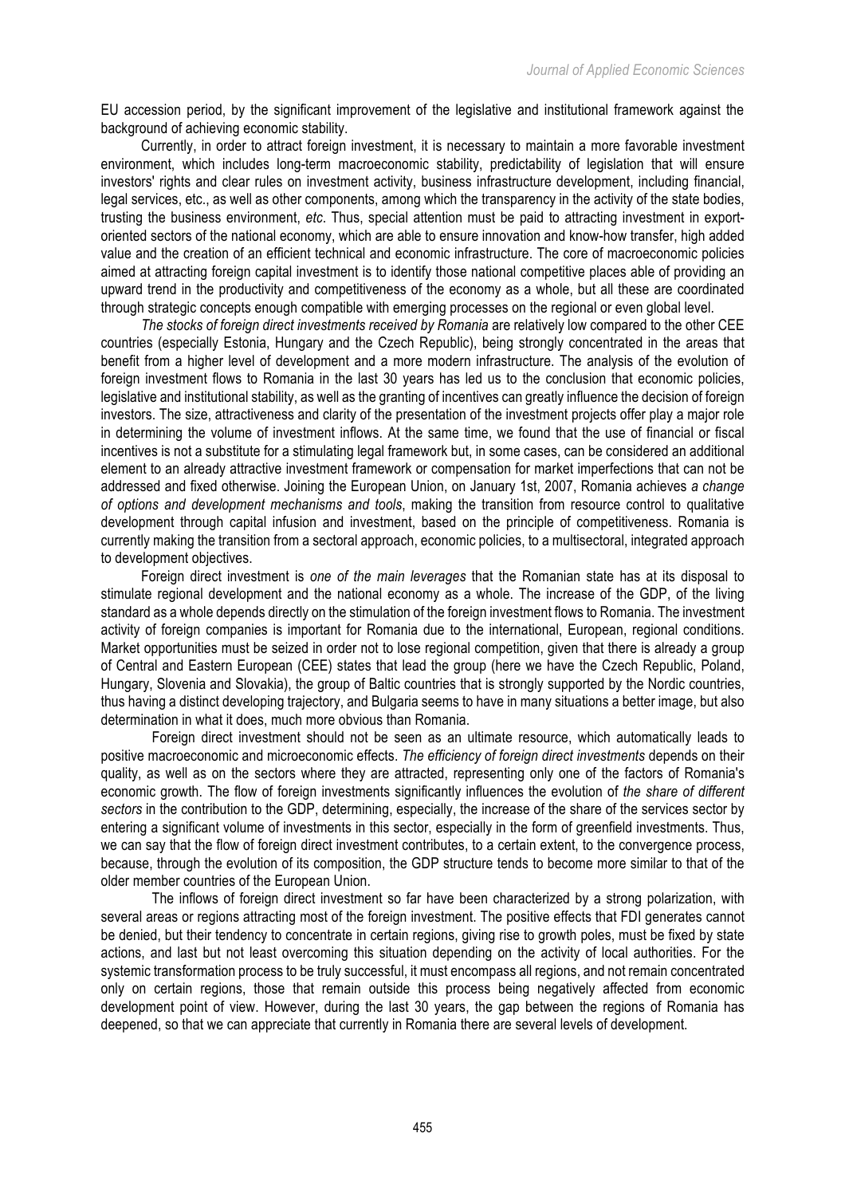EU accession period, by the significant improvement of the legislative and institutional framework against the background of achieving economic stability.

Currently, in order to attract foreign investment, it is necessary to maintain a more favorable investment environment, which includes long-term macroeconomic stability, predictability of legislation that will ensure investors' rights and clear rules on investment activity, business infrastructure development, including financial, legal services, etc., as well as other components, among which the transparency in the activity of the state bodies, trusting the business environment, *etc*. Thus, special attention must be paid to attracting investment in exportoriented sectors of the national economy, which are able to ensure innovation and know-how transfer, high added value and the creation of an efficient technical and economic infrastructure. The core of macroeconomic policies aimed at attracting foreign capital investment is to identify those national competitive places able of providing an upward trend in the productivity and competitiveness of the economy as a whole, but all these are coordinated through strategic concepts enough compatible with emerging processes on the regional or even global level.

*The stocks of foreign direct investments received by Romania* are relatively low compared to the other CEE countries (especially Estonia, Hungary and the Czech Republic), being strongly concentrated in the areas that benefit from a higher level of development and a more modern infrastructure. The analysis of the evolution of foreign investment flows to Romania in the last 30 years has led us to the conclusion that economic policies, legislative and institutional stability, as well as the granting of incentives can greatly influence the decision of foreign investors. The size, attractiveness and clarity of the presentation of the investment projects offer play a major role in determining the volume of investment inflows. At the same time, we found that the use of financial or fiscal incentives is not a substitute for a stimulating legal framework but, in some cases, can be considered an additional element to an already attractive investment framework or compensation for market imperfections that can not be addressed and fixed otherwise. Joining the European Union, on January 1st, 2007, Romania achieves *a change of options and development mechanisms and tools*, making the transition from resource control to qualitative development through capital infusion and investment, based on the principle of competitiveness. Romania is currently making the transition from a sectoral approach, economic policies, to a multisectoral, integrated approach to development objectives.

Foreign direct investment is *one of the main leverages* that the Romanian state has at its disposal to stimulate regional development and the national economy as a whole. The increase of the GDP, of the living standard as a whole depends directly on the stimulation of the foreign investment flows to Romania. The investment activity of foreign companies is important for Romania due to the international, European, regional conditions. Market opportunities must be seized in order not to lose regional competition, given that there is already a group of Central and Eastern European (CEE) states that lead the group (here we have the Czech Republic, Poland, Hungary, Slovenia and Slovakia), the group of Baltic countries that is strongly supported by the Nordic countries, thus having a distinct developing trajectory, and Bulgaria seems to have in many situations a better image, but also determination in what it does, much more obvious than Romania.

Foreign direct investment should not be seen as an ultimate resource, which automatically leads to positive macroeconomic and microeconomic effects. *The efficiency of foreign direct investments* depends on their quality, as well as on the sectors where they are attracted, representing only one of the factors of Romania's economic growth. The flow of foreign investments significantly influences the evolution of *the share of different sectors* in the contribution to the GDP, determining, especially, the increase of the share of the services sector by entering a significant volume of investments in this sector, especially in the form of greenfield investments. Thus, we can say that the flow of foreign direct investment contributes, to a certain extent, to the convergence process, because, through the evolution of its composition, the GDP structure tends to become more similar to that of the older member countries of the European Union.

The inflows of foreign direct investment so far have been characterized by a strong polarization, with several areas or regions attracting most of the foreign investment. The positive effects that FDI generates cannot be denied, but their tendency to concentrate in certain regions, giving rise to growth poles, must be fixed by state actions, and last but not least overcoming this situation depending on the activity of local authorities. For the systemic transformation process to be truly successful, it must encompass all regions, and not remain concentrated only on certain regions, those that remain outside this process being negatively affected from economic development point of view. However, during the last 30 years, the gap between the regions of Romania has deepened, so that we can appreciate that currently in Romania there are several levels of development.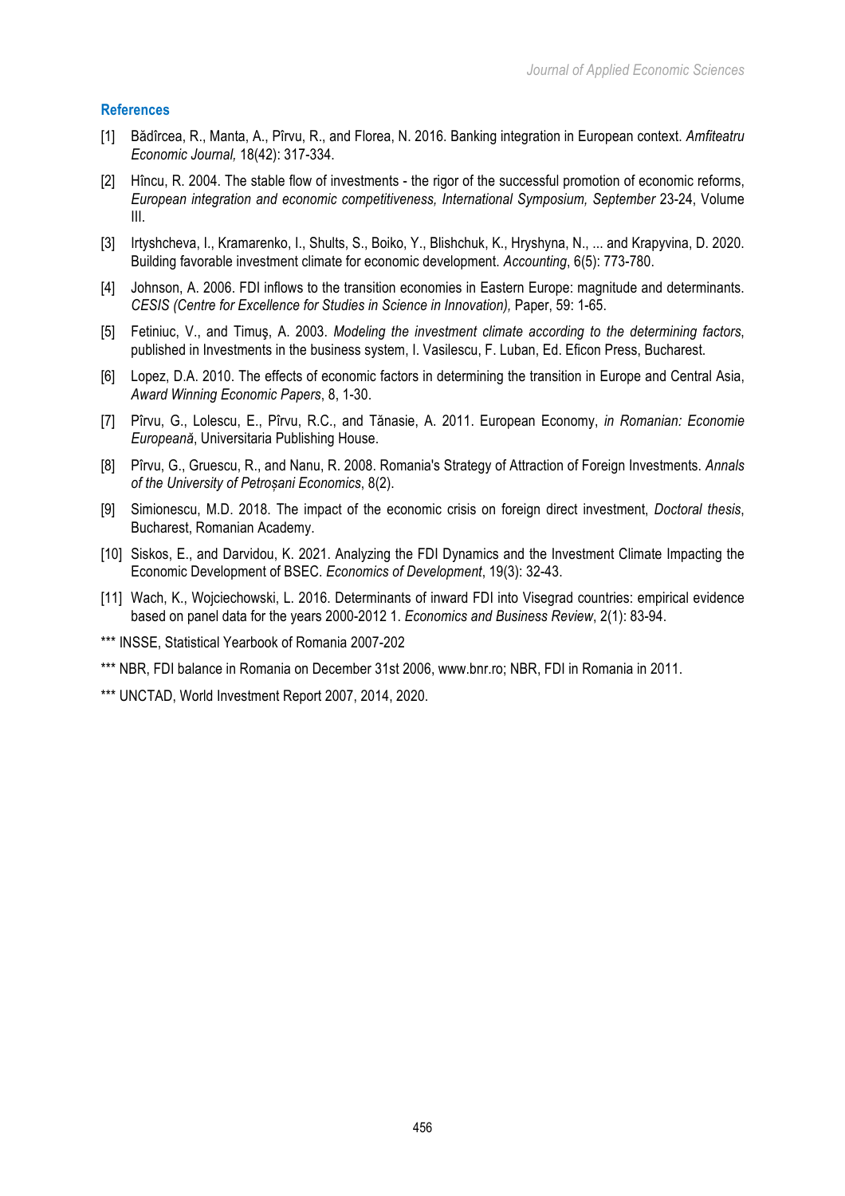## **References**

- [1] Bădîrcea, R., Manta, A., Pîrvu, R., and Florea, N. 2016. Banking integration in European context. *Amfiteatru Economic Journal,* 18(42): 317-334.
- [2] Hîncu, R. 2004. The stable flow of investments the rigor of the successful promotion of economic reforms, *European integration and economic competitiveness, International Symposium, September* 23-24, Volume III.
- [3] Irtyshcheva, I., Kramarenko, I., Shults, S., Boiko, Y., Blishchuk, K., Hryshyna, N., ... and Krapyvina, D. 2020. Building favorable investment climate for economic development. *Accounting*, 6(5): 773-780.
- [4] Johnson, A. 2006. FDI inflows to the transition economies in Eastern Europe: magnitude and determinants. *CESIS (Centre for Excellence for Studies in Science in Innovation),* Paper, 59: 1-65.
- [5] Fetiniuc, V., and Timuş, A. 2003. *Modeling the investment climate according to the determining factors*, published in Investments in the business system, I. Vasilescu, F. Luban, Ed. Eficon Press, Bucharest.
- [6] Lopez, D.A. 2010. The effects of economic factors in determining the transition in Europe and Central Asia, *Award Winning Economic Papers*, 8, 1-30.
- [7] Pîrvu, G., Lolescu, E., Pîrvu, R.C., and Tănasie, A. 2011. European Economy, *in Romanian: Economie Europeană*, Universitaria Publishing House.
- [8] Pîrvu, G., Gruescu, R., and Nanu, R. 2008. Romania's Strategy of Attraction of Foreign Investments. *Annals of the University of Petroșani Economics*, 8(2).
- [9] Simionescu, M.D. 2018. The impact of the economic crisis on foreign direct investment, *Doctoral thesis*, Bucharest, Romanian Academy.
- [10] Siskos, E., and Darvidou, K. 2021. Analyzing the FDI Dynamics and the Investment Climate Impacting the Economic Development of BSEC. *Economics of Development*, 19(3): 32-43.
- [11] Wach, K., Wojciechowski, L. 2016. Determinants of inward FDI into Visegrad countries: empirical evidence based on panel data for the years 2000-2012 1. *Economics and Business Review*, 2(1): 83-94.
- \*\*\* INSSE, Statistical Yearbook of Romania 2007-202
- \*\*\* NBR, FDI balance in Romania on December 31st 2006, www.bnr.ro; NBR, FDI in Romania in 2011.
- \*\*\* UNCTAD, World Investment Report 2007, 2014, 2020.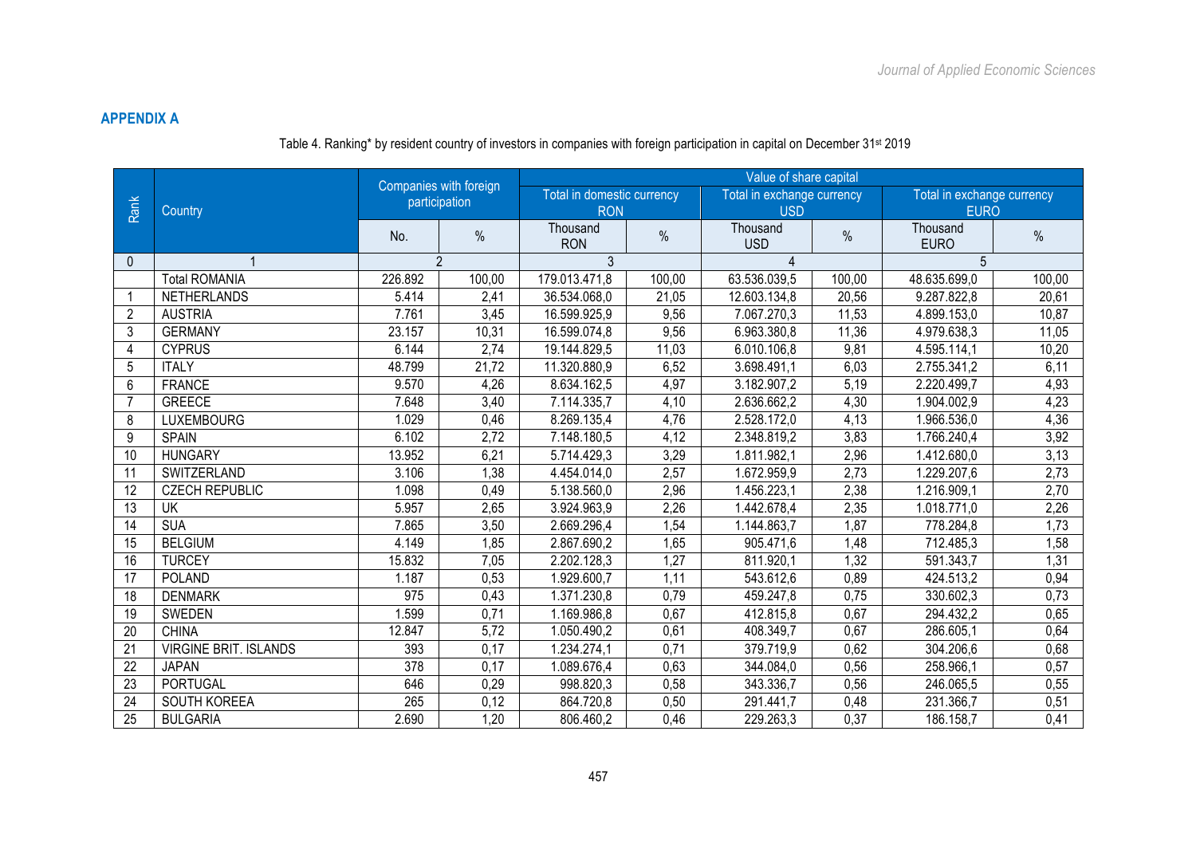# **APPENDIX A**

# Table 4. Ranking\* by resident country of investors in companies with foreign participation in capital on December 31st 2019

|                 |                              | Companies with foreign |                | Value of share capital     |        |                            |        |                            |        |  |  |
|-----------------|------------------------------|------------------------|----------------|----------------------------|--------|----------------------------|--------|----------------------------|--------|--|--|
|                 |                              |                        | participation  | Total in domestic currency |        | Total in exchange currency |        | Total in exchange currency |        |  |  |
| Rank            | Country                      |                        |                | <b>RON</b>                 |        | <b>USD</b>                 |        | <b>EURO</b>                |        |  |  |
|                 |                              | No.                    | $\%$           | Thousand<br><b>RON</b>     | $\%$   | Thousand<br><b>USD</b>     | $\%$   | Thousand<br><b>EURO</b>    | $\%$   |  |  |
| $\mathbf{0}$    |                              |                        | $\mathfrak{p}$ | 3                          |        | 4                          |        | 5                          |        |  |  |
|                 | <b>Total ROMANIA</b>         | 226.892                | 100,00         | 179.013.471,8              | 100,00 | 63.536.039,5               | 100,00 | 48.635.699,0               | 100,00 |  |  |
| -1              | <b>NETHERLANDS</b>           | 5.414                  | 2,41           | 36.534.068,0               | 21,05  | 12.603.134,8               | 20,56  | 9.287.822,8                | 20,61  |  |  |
| 2               | <b>AUSTRIA</b>               | 7.761                  | 3,45           | 16.599.925,9               | 9,56   | 7.067.270.3                | 11,53  | 4.899.153,0                | 10,87  |  |  |
| 3               | <b>GERMANY</b>               | 23.157                 | 10,31          | 16.599.074,8               | 9,56   | 6.963.380,8                | 11,36  | 4.979.638,3                | 11,05  |  |  |
| 4               | <b>CYPRUS</b>                | 6.144                  | 2,74           | 19.144.829,5               | 11,03  | 6.010.106.8                | 9,81   | 4.595.114,1                | 10,20  |  |  |
| 5               | <b>ITALY</b>                 | 48.799                 | 21,72          | 11.320.880,9               | 6,52   | 3.698.491,1                | 6,03   | 2.755.341,2                | 6,11   |  |  |
| 6               | <b>FRANCE</b>                | 9.570                  | 4,26           | 8.634.162,5                | 4,97   | 3.182.907,2                | 5,19   | 2.220.499,7                | 4,93   |  |  |
| $\overline{7}$  | <b>GREECE</b>                | 7.648                  | 3,40           | 7.114.335,7                | 4,10   | 2.636.662,2                | 4,30   | 1.904.002,9                | 4,23   |  |  |
| 8               | <b>LUXEMBOURG</b>            | 1.029                  | 0,46           | 8.269.135,4                | 4,76   | 2.528.172,0                | 4,13   | 1.966.536,0                | 4,36   |  |  |
| 9               | <b>SPAIN</b>                 | 6.102                  | 2,72           | 7.148.180,5                | 4,12   | 2.348.819,2                | 3,83   | 1.766.240,4                | 3,92   |  |  |
| 10              | <b>HUNGARY</b>               | 13.952                 | 6,21           | 5.714.429,3                | 3,29   | 1.811.982,1                | 2,96   | 1.412.680,0                | 3,13   |  |  |
| 11              | SWITZERLAND                  | 3.106                  | 1,38           | 4.454.014,0                | 2,57   | 1.672.959,9                | 2,73   | 1.229.207,6                | 2,73   |  |  |
| 12              | <b>CZECH REPUBLIC</b>        | 1.098                  | 0,49           | 5.138.560,0                | 2,96   | 1.456.223,1                | 2,38   | 1.216.909,1                | 2,70   |  |  |
| $\overline{13}$ | UK                           | 5.957                  | 2,65           | 3.924.963,9                | 2,26   | 1.442.678,4                | 2,35   | 1.018.771,0                | 2,26   |  |  |
| 14              | <b>SUA</b>                   | 7.865                  | 3,50           | 2.669.296,4                | 1,54   | 1.144.863,7                | 1,87   | 778.284,8                  | 1,73   |  |  |
| 15              | <b>BELGIUM</b>               | 4.149                  | 1,85           | 2.867.690,2                | 1,65   | 905.471,6                  | 1,48   | 712.485,3                  | 1,58   |  |  |
| 16              | <b>TURCEY</b>                | 15.832                 | 7,05           | 2.202.128,3                | 1,27   | 811.920,1                  | 1,32   | 591.343,7                  | 1,31   |  |  |
| $\overline{17}$ | <b>POLAND</b>                | 1.187                  | 0,53           | 1.929.600,7                | 1,11   | 543.612,6                  | 0,89   | 424.513,2                  | 0,94   |  |  |
| 18              | <b>DENMARK</b>               | 975                    | 0,43           | 1.371.230,8                | 0,79   | 459.247,8                  | 0,75   | 330.602,3                  | 0,73   |  |  |
| 19              | SWEDEN                       | 1.599                  | 0,71           | 1.169.986,8                | 0,67   | 412.815,8                  | 0,67   | 294.432,2                  | 0,65   |  |  |
| 20              | <b>CHINA</b>                 | 12.847                 | 5,72           | 1.050.490,2                | 0,61   | 408.349,7                  | 0,67   | 286.605,1                  | 0,64   |  |  |
| 21              | <b>VIRGINE BRIT. ISLANDS</b> | 393                    | 0,17           | 1.234.274,1                | 0,71   | 379.719,9                  | 0,62   | 304.206,6                  | 0,68   |  |  |
| $\overline{22}$ | <b>JAPAN</b>                 | $\overline{378}$       | 0,17           | 1.089.676,4                | 0,63   | 344.084,0                  | 0,56   | 258.966,1                  | 0,57   |  |  |
| 23              | <b>PORTUGAL</b>              | 646                    | 0,29           | 998.820,3                  | 0,58   | 343.336,7                  | 0,56   | 246.065,5                  | 0,55   |  |  |
| 24              | SOUTH KOREEA                 | 265                    | 0,12           | 864.720,8                  | 0,50   | 291.441,7                  | 0,48   | 231.366,7                  | 0,51   |  |  |
| 25              | <b>BULGARIA</b>              | 2.690                  | 1,20           | 806.460,2                  | 0,46   | 229.263,3                  | 0,37   | 186.158,7                  | 0,41   |  |  |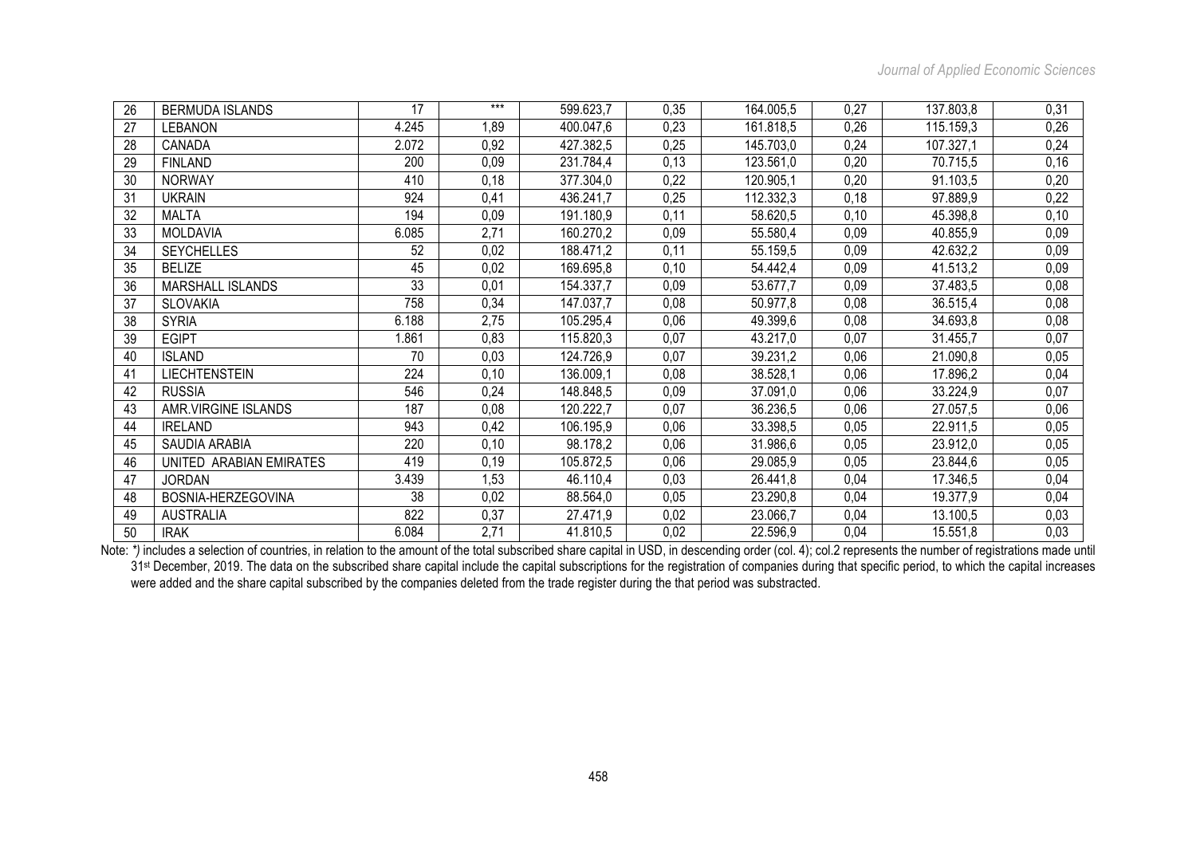| 26 | <b>BERMUDA ISLANDS</b>  | 17    | $***$ | 599.623,7 | 0,35 | 164.005,5 | 0,27 | 137.803,8 | 0,31 |
|----|-------------------------|-------|-------|-----------|------|-----------|------|-----------|------|
| 27 | <b>LEBANON</b>          | 4.245 | 1,89  | 400.047,6 | 0,23 | 161.818,5 | 0,26 | 115.159,3 | 0,26 |
| 28 | CANADA                  | 2.072 | 0,92  | 427.382,5 | 0,25 | 145.703,0 | 0,24 | 107.327,1 | 0,24 |
| 29 | <b>FINLAND</b>          | 200   | 0,09  | 231.784,4 | 0,13 | 123.561,0 | 0,20 | 70.715,5  | 0,16 |
| 30 | <b>NORWAY</b>           | 410   | 0,18  | 377.304,0 | 0,22 | 120.905,1 | 0,20 | 91.103,5  | 0,20 |
| 31 | <b>UKRAIN</b>           | 924   | 0,41  | 436.241,7 | 0,25 | 112.332,3 | 0,18 | 97.889,9  | 0,22 |
| 32 | <b>MALTA</b>            | 194   | 0,09  | 191.180,9 | 0,11 | 58.620,5  | 0,10 | 45.398,8  | 0,10 |
| 33 | <b>MOLDAVIA</b>         | 6.085 | 2,71  | 160.270,2 | 0,09 | 55.580,4  | 0,09 | 40.855,9  | 0,09 |
| 34 | <b>SEYCHELLES</b>       | 52    | 0,02  | 188.471,2 | 0,11 | 55.159,5  | 0,09 | 42.632,2  | 0,09 |
| 35 | <b>BELIZE</b>           | 45    | 0,02  | 169.695,8 | 0,10 | 54.442,4  | 0,09 | 41.513,2  | 0,09 |
| 36 | <b>MARSHALL ISLANDS</b> | 33    | 0,01  | 154.337,7 | 0,09 | 53.677,7  | 0,09 | 37.483,5  | 0,08 |
| 37 | <b>SLOVAKIA</b>         | 758   | 0,34  | 147.037,7 | 0,08 | 50.977,8  | 0,08 | 36.515,4  | 0,08 |
| 38 | <b>SYRIA</b>            | 6.188 | 2,75  | 105.295,4 | 0,06 | 49.399,6  | 0,08 | 34.693,8  | 0,08 |
| 39 | <b>EGIPT</b>            | 1.861 | 0,83  | 115.820,3 | 0,07 | 43.217,0  | 0,07 | 31.455,7  | 0,07 |
| 40 | <b>ISLAND</b>           | 70    | 0,03  | 124.726,9 | 0,07 | 39.231,2  | 0,06 | 21.090,8  | 0,05 |
| 41 | <b>LIECHTENSTEIN</b>    | 224   | 0,10  | 136.009,1 | 0,08 | 38.528,1  | 0,06 | 17.896,2  | 0,04 |
| 42 | <b>RUSSIA</b>           | 546   | 0,24  | 148.848,5 | 0,09 | 37.091,0  | 0,06 | 33.224,9  | 0,07 |
| 43 | AMR.VIRGINE ISLANDS     | 187   | 0,08  | 120.222,7 | 0,07 | 36.236,5  | 0,06 | 27.057,5  | 0,06 |
| 44 | <b>IRELAND</b>          | 943   | 0,42  | 106.195,9 | 0,06 | 33.398,5  | 0,05 | 22.911,5  | 0,05 |
| 45 | SAUDIA ARABIA           | 220   | 0,10  | 98.178,2  | 0,06 | 31.986,6  | 0,05 | 23.912,0  | 0,05 |
| 46 | UNITED ARABIAN EMIRATES | 419   | 0, 19 | 105.872,5 | 0,06 | 29.085,9  | 0,05 | 23.844,6  | 0,05 |
| 47 | <b>JORDAN</b>           | 3.439 | 1,53  | 46.110,4  | 0,03 | 26.441,8  | 0,04 | 17.346,5  | 0,04 |
| 48 | BOSNIA-HERZEGOVINA      | 38    | 0,02  | 88.564,0  | 0,05 | 23.290,8  | 0,04 | 19.377,9  | 0,04 |
| 49 | <b>AUSTRALIA</b>        | 822   | 0,37  | 27.471,9  | 0,02 | 23.066,7  | 0,04 | 13.100,5  | 0,03 |
| 50 | <b>IRAK</b>             | 6.084 | 2,71  | 41.810,5  | 0,02 | 22.596,9  | 0,04 | 15.551,8  | 0,03 |

Note: \*) includes a selection of countries, in relation to the amount of the total subscribed share capital in USD, in descending order (col. 4); col.2 represents the number of registrations made until 31<sup>st</sup> December, 2019. The data on the subscribed share capital include the capital subscriptions for the registration of companies during that specific period, to which the capital increases were added and the share capital subscribed by the companies deleted from the trade register during the that period was substracted.